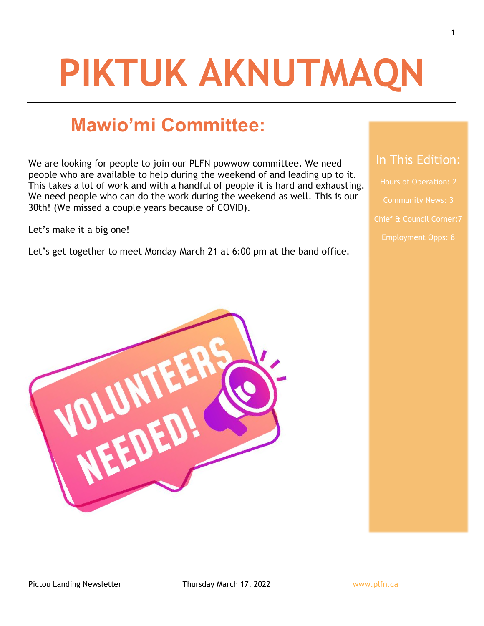# **PIKTUK AKNUTMAQN**

# **Mawio'mi Committee:**

We are looking for people to join our PLFN powwow committee. We need people who are available to help during the weekend of and leading up to it. This takes a lot of work and with a handful of people it is hard and exhausting. We need people who can do the work during the weekend as well. This is our 30th! (We missed a couple years because of COVID).

Let's make it a big one!

Let's get together to meet Monday March 21 at 6:00 pm at the band office.



## In This Edition:

Hours of Operation: 2 Chief & Council Corner:7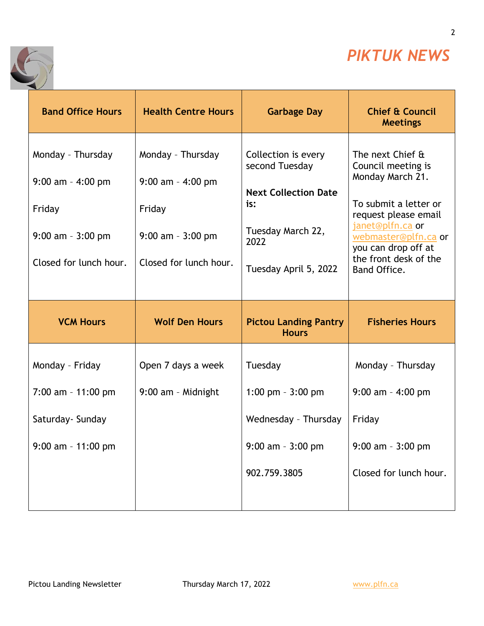

2

٦



| <b>Band Office Hours</b>                                                                              | <b>Health Centre Hours</b>                                                                            | <b>Garbage Day</b>                                                                                                                | <b>Chief &amp; Council</b><br><b>Meetings</b>                                                                                                                                                                           |
|-------------------------------------------------------------------------------------------------------|-------------------------------------------------------------------------------------------------------|-----------------------------------------------------------------------------------------------------------------------------------|-------------------------------------------------------------------------------------------------------------------------------------------------------------------------------------------------------------------------|
| Monday - Thursday<br>$9:00$ am - 4:00 pm<br>Friday<br>$9:00$ am - $3:00$ pm<br>Closed for lunch hour. | Monday - Thursday<br>$9:00$ am - 4:00 pm<br>Friday<br>$9:00$ am - $3:00$ pm<br>Closed for lunch hour. | Collection is every<br>second Tuesday<br><b>Next Collection Date</b><br>is:<br>Tuesday March 22,<br>2022<br>Tuesday April 5, 2022 | The next Chief &<br>Council meeting is<br>Monday March 21.<br>To submit a letter or<br>request please email<br>janet@plfn.ca or<br>webmaster@plfn.ca or<br>you can drop off at<br>the front desk of the<br>Band Office. |
|                                                                                                       |                                                                                                       |                                                                                                                                   |                                                                                                                                                                                                                         |
| <b>VCM Hours</b>                                                                                      | <b>Wolf Den Hours</b>                                                                                 | <b>Pictou Landing Pantry</b><br><b>Hours</b>                                                                                      | <b>Fisheries Hours</b>                                                                                                                                                                                                  |
| Monday - Friday                                                                                       | Open 7 days a week                                                                                    | Tuesday                                                                                                                           | Monday - Thursday                                                                                                                                                                                                       |
| $7:00$ am - 11:00 pm                                                                                  | 9:00 am - Midnight                                                                                    | 1:00 pm $-3:00$ pm                                                                                                                | $9:00$ am - 4:00 pm                                                                                                                                                                                                     |
| Saturday- Sunday                                                                                      |                                                                                                       | Wednesday - Thursday                                                                                                              | Friday                                                                                                                                                                                                                  |
| $9:00$ am - 11:00 pm                                                                                  |                                                                                                       | $9:00$ am - $3:00$ pm                                                                                                             | $9:00$ am - $3:00$ pm                                                                                                                                                                                                   |

T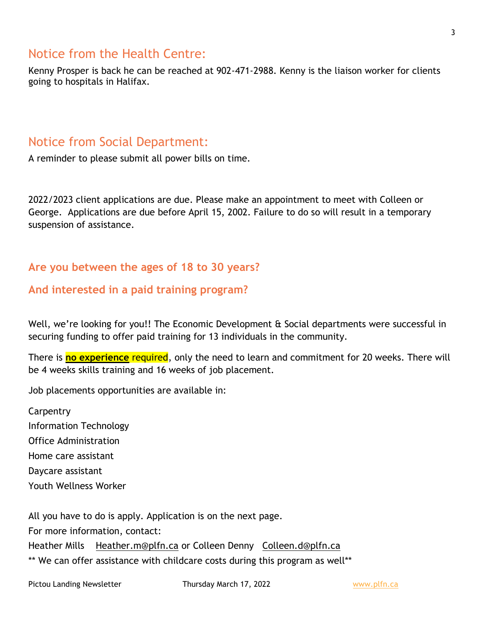## Notice from the Health Centre:

Kenny Prosper is back he can be reached at 902-471-2988. Kenny is the liaison worker for clients going to hospitals in Halifax.

## Notice from Social Department:

A reminder to please submit all power bills on time.

2022/2023 client applications are due. Please make an appointment to meet with Colleen or George. Applications are due before April 15, 2002. Failure to do so will result in a temporary suspension of assistance.

## **Are you between the ages of 18 to 30 years?**

## **And interested in a paid training program?**

Well, we're looking for you!! The Economic Development & Social departments were successful in securing funding to offer paid training for 13 individuals in the community.

There is **no experience** required, only the need to learn and commitment for 20 weeks. There will be 4 weeks skills training and 16 weeks of job placement.

Job placements opportunities are available in:

**Carpentry** Information Technology Office Administration Home care assistant Daycare assistant Youth Wellness Worker

All you have to do is apply. Application is on the next page.

For more information, contact:

Heather Mills [Heather.m@plfn.ca](mailto:Heather.m@plfn.ca) or Colleen Denny [Colleen.d@plfn.ca](mailto:Colleen.d@plfn.ca)

\*\* We can offer assistance with childcare costs during this program as well\*\*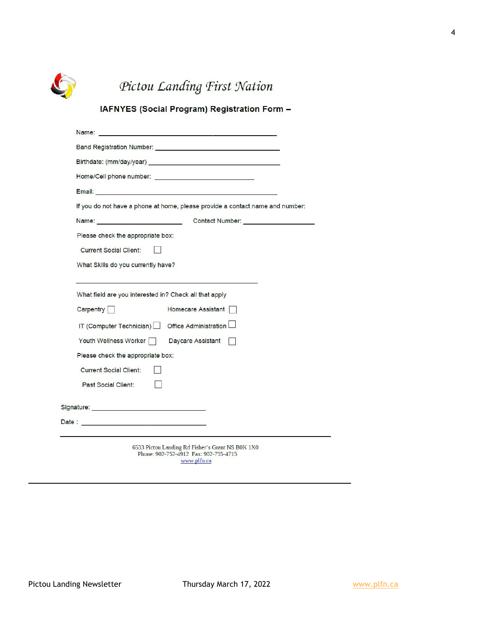

## Pictou Landing First Nation

### IAFNYES (Social Program) Registration Form -

| Birthdate: (mm/day/year) example and the state of the state of the state of the state of the state of the state of the state of the state of the state of the state of the state of the state of the state of the state of the |
|--------------------------------------------------------------------------------------------------------------------------------------------------------------------------------------------------------------------------------|
|                                                                                                                                                                                                                                |
|                                                                                                                                                                                                                                |
|                                                                                                                                                                                                                                |
|                                                                                                                                                                                                                                |
| If you do not have a phone at home, please provide a contact name and number:                                                                                                                                                  |
| Contact Number: _____________________                                                                                                                                                                                          |
| Please check the appropriate box:                                                                                                                                                                                              |
| <b>Current Social Client:</b>                                                                                                                                                                                                  |
| What Skills do you currently have?                                                                                                                                                                                             |
|                                                                                                                                                                                                                                |
| What field are you interested in? Check all that apply                                                                                                                                                                         |
| Carpentry  <br>Homecare Assistant                                                                                                                                                                                              |
| IT (Computer Technician) Office Administration                                                                                                                                                                                 |
| Youth Wellness Worker<br>Daycare Assistant                                                                                                                                                                                     |
| Please check the appropriate box:                                                                                                                                                                                              |
| <b>Current Social Client:</b>                                                                                                                                                                                                  |
| Past Social Client:                                                                                                                                                                                                            |
| Signature: Signature: Signature: Signature: Signature: Signature: Signature: Signature: Signature: Signature: Signature: Signature: Signature: Signature: Signature: Signature: Signature: Signature: Signature: Signature: Si |
|                                                                                                                                                                                                                                |
|                                                                                                                                                                                                                                |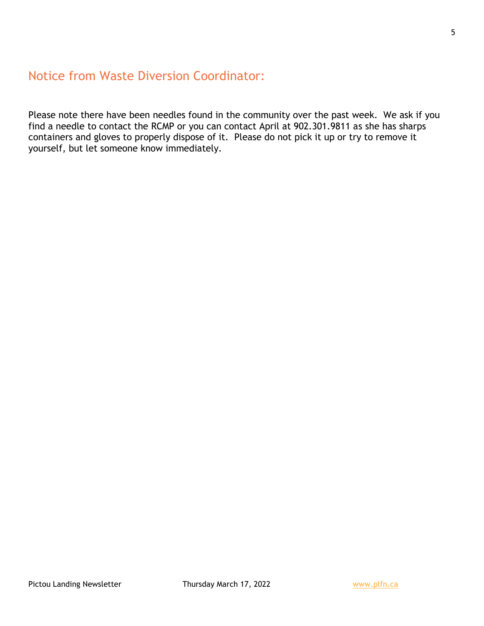## Notice from Waste Diversion Coordinator:

Please note there have been needles found in the community over the past week. We ask if you find a needle to contact the RCMP or you can contact April at 902.301.9811 as she has sharps containers and gloves to properly dispose of it. Please do not pick it up or try to remove it yourself, but let someone know immediately.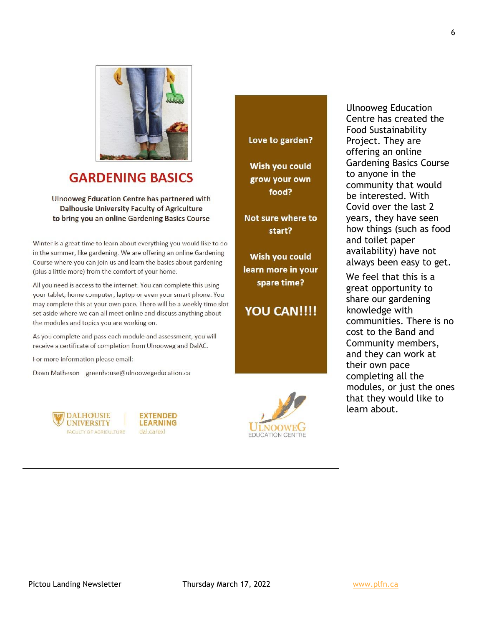

## **GARDENING BASICS**

**Ulnooweg Education Centre has partnered with Dalhousie University Faculty of Agriculture** to bring you an online Gardening Basics Course

Winter is a great time to learn about everything you would like to do in the summer, like gardening. We are offering an online Gardening Course where you can join us and learn the basics about gardening (plus a little more) from the comfort of your home.

All you need is access to the internet. You can complete this using your tablet, home computer, laptop or even your smart phone. You may complete this at your own pace. There will be a weekly time slot set aside where we can all meet online and discuss anything about the modules and topics you are working on.

As you complete and pass each module and assessment, you will receive a certificate of completion from Ulnooweg and DalAC.

For more information please email:

Dawn Matheson greenhouse@ulnoowegeducation.ca







Love to garden?

Wish you could grow your own food?

Not sure where to start?

Wish you could learn more in your spare time?

## **YOU CAN!!!!**

Ulnooweg Education Centre has created the Food Sustainability Project. They are offering an online Gardening Basics Course to anyone in the community that would be interested. With Covid over the last 2 years, they have seen how things (such as food and toilet paper availability) have not always been easy to get.

We feel that this is a great opportunity to share our gardening knowledge with communities. There is no cost to the Band and Community members, and they can work at their own pace completing all the modules, or just the ones that they would like to learn about.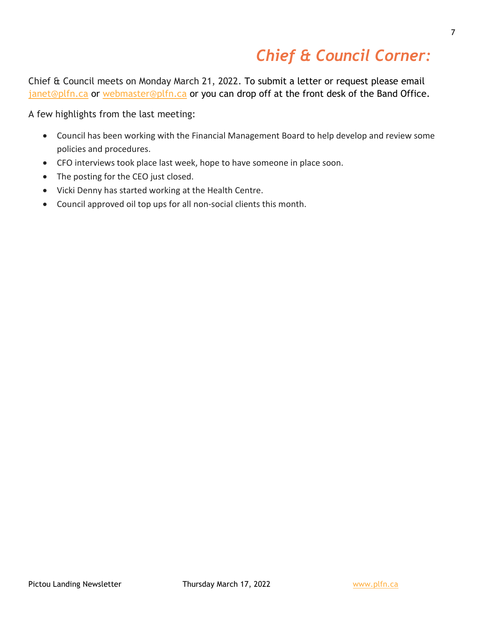# *Chief & Council Corner:*

Chief & Council meets on Monday March 21, 2022. To submit a letter or request please email [janet@plfn.ca](mailto:janet@plfn.ca) or [webmaster@plfn.ca](mailto:webmaster@plfn.ca) or you can drop off at the front desk of the Band Office.

A few highlights from the last meeting:

- Council has been working with the Financial Management Board to help develop and review some policies and procedures.
- CFO interviews took place last week, hope to have someone in place soon.
- The posting for the CEO just closed.
- Vicki Denny has started working at the Health Centre.
- Council approved oil top ups for all non-social clients this month.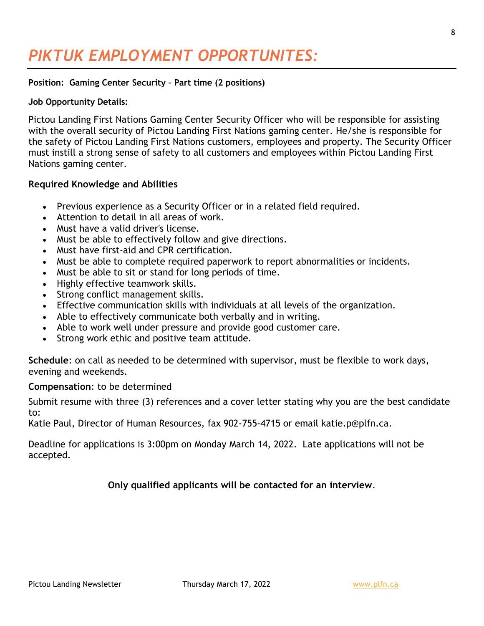# *PIKTUK EMPLOYMENT OPPORTUNITES:*

#### **Position: Gaming Center Security – Part time (2 positions)**

#### **Job Opportunity Details:**

Pictou Landing First Nations Gaming Center Security Officer who will be responsible for assisting with the overall security of Pictou Landing First Nations gaming center. He/she is responsible for the safety of Pictou Landing First Nations customers, employees and property. The Security Officer must instill a strong sense of safety to all customers and employees within Pictou Landing First Nations gaming center.

#### **Required Knowledge and Abilities**

- Previous experience as a Security Officer or in a related field required.
- Attention to detail in all areas of work.
- Must have a valid driver's license.
- Must be able to effectively follow and give directions.
- Must have first-aid and CPR certification.
- Must be able to complete required paperwork to report abnormalities or incidents.
- Must be able to sit or stand for long periods of time.
- Highly effective teamwork skills.
- Strong conflict management skills.
- Effective communication skills with individuals at all levels of the organization.
- Able to effectively communicate both verbally and in writing.
- Able to work well under pressure and provide good customer care.
- Strong work ethic and positive team attitude.

**Schedule**: on call as needed to be determined with supervisor, must be flexible to work days, evening and weekends.

#### **Compensation**: to be determined

Submit resume with three (3) references and a cover letter stating why you are the best candidate to:

Katie Paul, Director of Human Resources, fax 902-755-4715 or email katie.p@plfn.ca.

Deadline for applications is 3:00pm on Monday March 14, 2022. Late applications will not be accepted.

#### **Only qualified applicants will be contacted for an interview**.